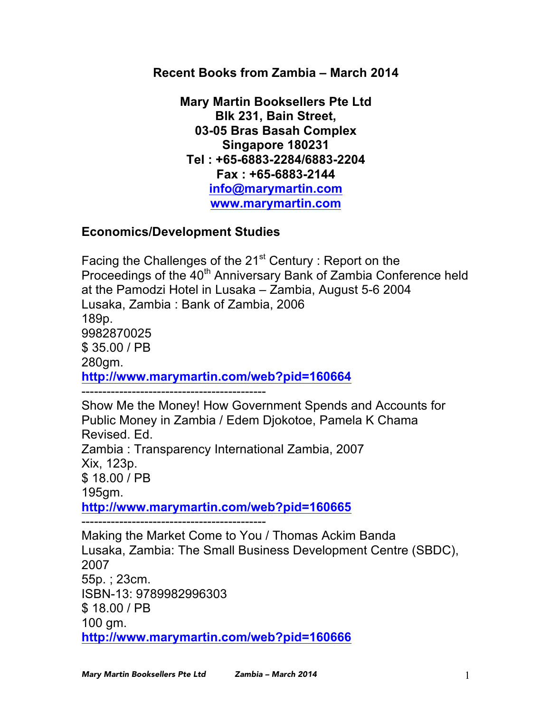**Recent Books from Zambia – March 2014**

**Mary Martin Booksellers Pte Ltd Blk 231, Bain Street, 03-05 Bras Basah Complex Singapore 180231 Tel : +65-6883-2284/6883-2204 Fax : +65-6883-2144 info@marymartin.com www.marymartin.com**

# **Economics/Development Studies**

Facing the Challenges of the  $21<sup>st</sup>$  Century : Report on the Proceedings of the 40<sup>th</sup> Anniversary Bank of Zambia Conference held at the Pamodzi Hotel in Lusaka – Zambia, August 5-6 2004 Lusaka, Zambia : Bank of Zambia, 2006 189p. 9982870025 \$ 35.00 / PB 280gm. **http://www.marymartin.com/web?pid=160664** --------------------------------------------

Show Me the Money! How Government Spends and Accounts for Public Money in Zambia / Edem Djokotoe, Pamela K Chama Revised. Ed. Zambia : Transparency International Zambia, 2007 Xix, 123p. \$ 18.00 / PB 195gm. **http://www.marymartin.com/web?pid=160665**

--------------------------------------------

Making the Market Come to You / Thomas Ackim Banda Lusaka, Zambia: The Small Business Development Centre (SBDC), 2007 55p. ; 23cm. ISBN-13: 9789982996303 \$ 18.00 / PB 100 gm. **http://www.marymartin.com/web?pid=160666**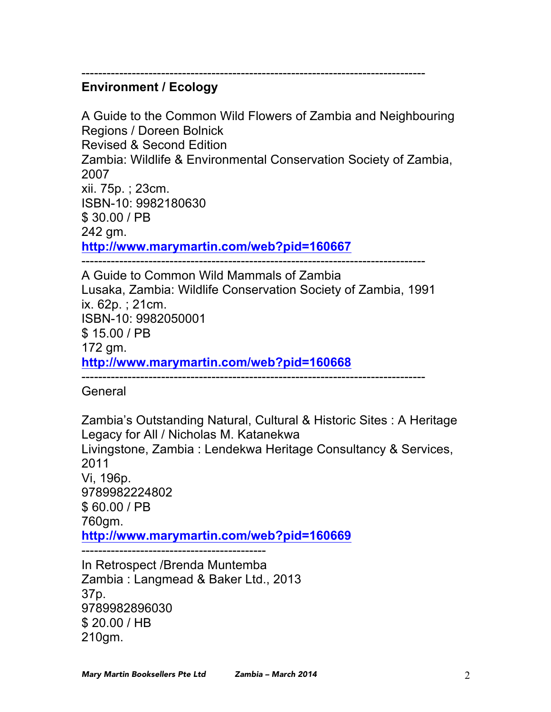## ---------------------------------------------------------------------------------- **Environment / Ecology**

A Guide to the Common Wild Flowers of Zambia and Neighbouring Regions / Doreen Bolnick Revised & Second Edition Zambia: Wildlife & Environmental Conservation Society of Zambia, 2007 xii. 75p. ; 23cm. ISBN-10: 9982180630 \$ 30.00 / PB 242 gm. **http://www.marymartin.com/web?pid=160667**

A Guide to Common Wild Mammals of Zambia Lusaka, Zambia: Wildlife Conservation Society of Zambia, 1991 ix. 62p. ; 21cm. ISBN-10: 9982050001 \$ 15.00 / PB 172 gm. **http://www.marymartin.com/web?pid=160668**

----------------------------------------------------------------------------------

**General** 

Zambia's Outstanding Natural, Cultural & Historic Sites : A Heritage Legacy for All / Nicholas M. Katanekwa Livingstone, Zambia : Lendekwa Heritage Consultancy & Services, 2011 Vi, 196p. 9789982224802 \$ 60.00 / PB 760gm. **http://www.marymartin.com/web?pid=160669** In Retrospect /Brenda Muntemba Zambia : Langmead & Baker Ltd., 2013

37p. 9789982896030 \$ 20.00 / HB 210gm.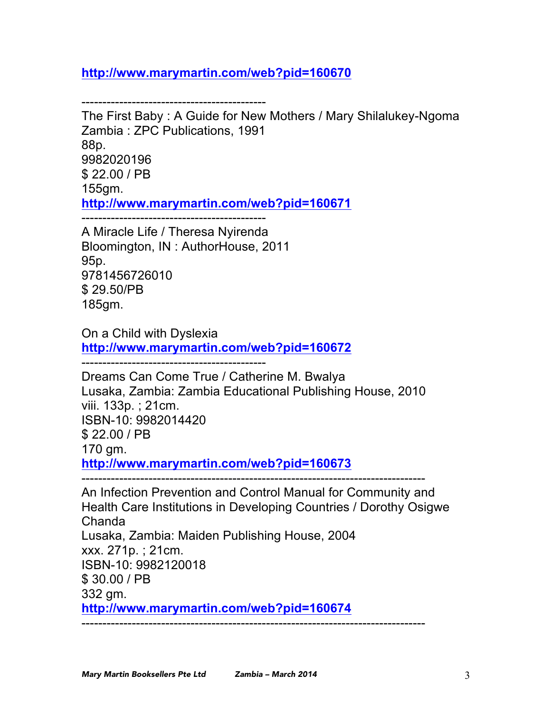# **http://www.marymartin.com/web?pid=160670**

--------------------------------------------

The First Baby : A Guide for New Mothers / Mary Shilalukey-Ngoma Zambia : ZPC Publications, 1991 88p. 9982020196 \$ 22.00 / PB 155gm. **http://www.marymartin.com/web?pid=160671** --------------------------------------------

A Miracle Life / Theresa Nyirenda Bloomington, IN : AuthorHouse, 2011 95p. 9781456726010 \$ 29.50/PB 185gm.

On a Child with Dyslexia **http://www.marymartin.com/web?pid=160672**

--------------------------------------------

Dreams Can Come True / Catherine M. Bwalya Lusaka, Zambia: Zambia Educational Publishing House, 2010 viii. 133p. ; 21cm. ISBN-10: 9982014420 \$ 22.00 / PB 170 gm. **http://www.marymartin.com/web?pid=160673**

----------------------------------------------------------------------------------

An Infection Prevention and Control Manual for Community and Health Care Institutions in Developing Countries / Dorothy Osigwe Chanda Lusaka, Zambia: Maiden Publishing House, 2004 xxx. 271p. ; 21cm. ISBN-10: 9982120018 \$ 30.00 / PB 332 gm. **http://www.marymartin.com/web?pid=160674**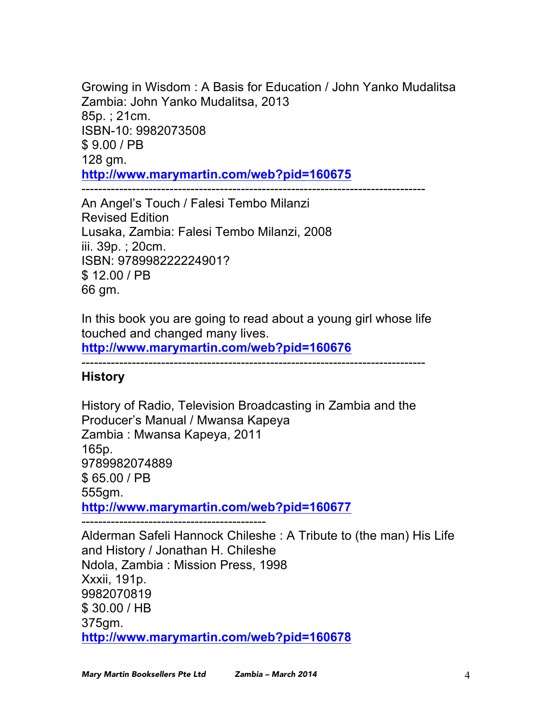Growing in Wisdom : A Basis for Education / John Yanko Mudalitsa Zambia: John Yanko Mudalitsa, 2013 85p. ; 21cm. ISBN-10: 9982073508 \$ 9.00 / PB 128 gm. **http://www.marymartin.com/web?pid=160675** ----------------------------------------------------------------------------------

An Angel's Touch / Falesi Tembo Milanzi Revised Edition Lusaka, Zambia: Falesi Tembo Milanzi, 2008 iii. 39p. ; 20cm. ISBN: 978998222224901? \$ 12.00 / PB 66 gm.

In this book you are going to read about a young girl whose life touched and changed many lives.

**http://www.marymartin.com/web?pid=160676**

## **History**

History of Radio, Television Broadcasting in Zambia and the Producer's Manual / Mwansa Kapeya Zambia : Mwansa Kapeya, 2011 165p. 9789982074889 \$ 65.00 / PB 555gm. **http://www.marymartin.com/web?pid=160677**

--------------------------------------------

Alderman Safeli Hannock Chileshe : A Tribute to (the man) His Life and History / Jonathan H. Chileshe Ndola, Zambia : Mission Press, 1998 Xxxii, 191p. 9982070819 \$ 30.00 / HB 375gm. **http://www.marymartin.com/web?pid=160678**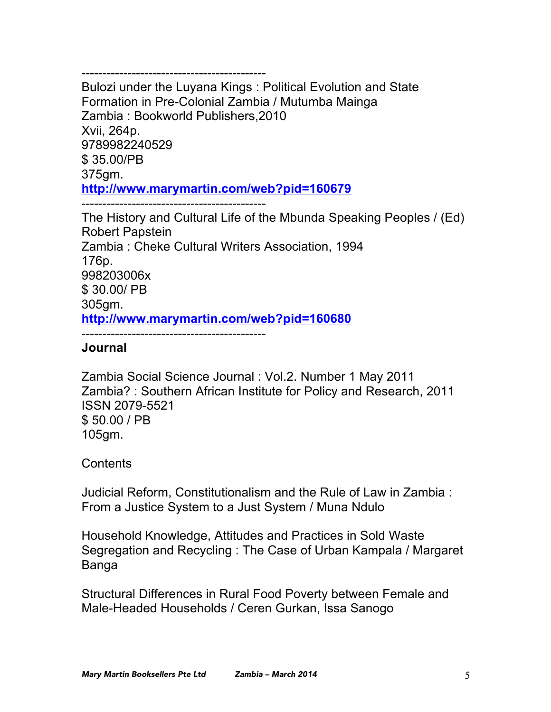-------------------------------------------- Bulozi under the Luyana Kings : Political Evolution and State Formation in Pre-Colonial Zambia / Mutumba Mainga Zambia : Bookworld Publishers,2010 Xvii, 264p. 9789982240529 \$ 35.00/PB 375gm. **http://www.marymartin.com/web?pid=160679** --------------------------------------------

The History and Cultural Life of the Mbunda Speaking Peoples / (Ed) Robert Papstein Zambia : Cheke Cultural Writers Association, 1994 176p. 998203006x \$ 30.00/ PB 305gm. **http://www.marymartin.com/web?pid=160680** --------------------------------------------

# **Journal**

Zambia Social Science Journal : Vol.2. Number 1 May 2011 Zambia? : Southern African Institute for Policy and Research, 2011 ISSN 2079-5521 \$ 50.00 / PB 105gm.

**Contents** 

Judicial Reform, Constitutionalism and the Rule of Law in Zambia : From a Justice System to a Just System / Muna Ndulo

Household Knowledge, Attitudes and Practices in Sold Waste Segregation and Recycling : The Case of Urban Kampala / Margaret Banga

Structural Differences in Rural Food Poverty between Female and Male-Headed Households / Ceren Gurkan, Issa Sanogo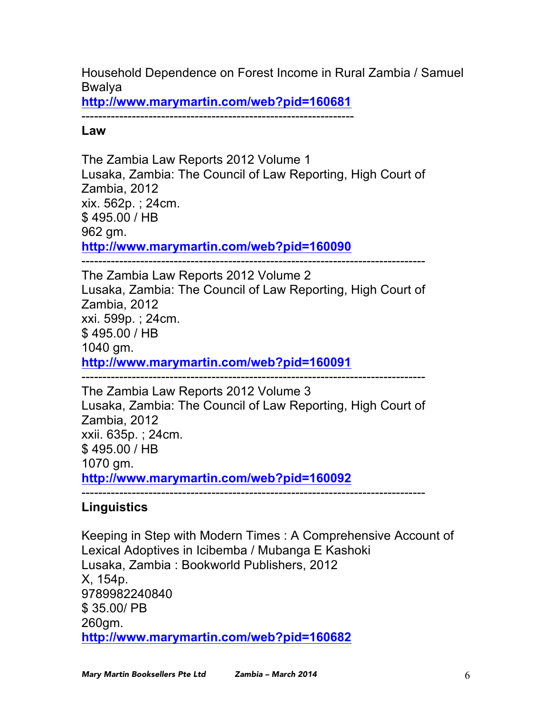Household Dependence on Forest Income in Rural Zambia / Samuel Bwalya

**http://www.marymartin.com/web?pid=160681**

-----------------------------------------------------------------

**Law**

The Zambia Law Reports 2012 Volume 1 Lusaka, Zambia: The Council of Law Reporting, High Court of Zambia, 2012 xix. 562p. ; 24cm. \$ 495.00 / HB 962 gm. **http://www.marymartin.com/web?pid=160090** ----------------------------------------------------------------------------------

The Zambia Law Reports 2012 Volume 2 Lusaka, Zambia: The Council of Law Reporting, High Court of Zambia, 2012 xxi. 599p. ; 24cm. \$ 495.00 / HB 1040 gm. **http://www.marymartin.com/web?pid=160091**

---------------------------------------------------------------------------------- The Zambia Law Reports 2012 Volume 3 Lusaka, Zambia: The Council of Law Reporting, High Court of Zambia, 2012 xxii. 635p. ; 24cm. \$ 495.00 / HB 1070 gm. **http://www.marymartin.com/web?pid=160092**

----------------------------------------------------------------------------------

# **Linguistics**

Keeping in Step with Modern Times : A Comprehensive Account of Lexical Adoptives in Icibemba / Mubanga E Kashoki Lusaka, Zambia : Bookworld Publishers, 2012 X, 154p. 9789982240840 \$ 35.00/ PB 260gm. **http://www.marymartin.com/web?pid=160682**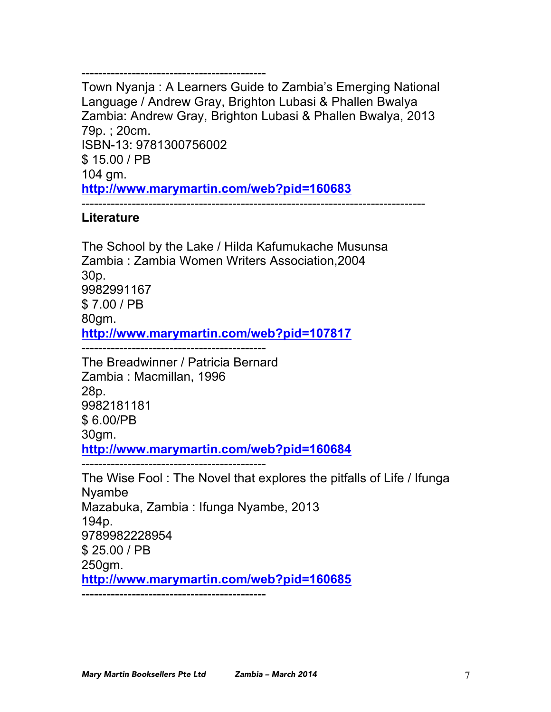Town Nyanja : A Learners Guide to Zambia's Emerging National Language / Andrew Gray, Brighton Lubasi & Phallen Bwalya Zambia: Andrew Gray, Brighton Lubasi & Phallen Bwalya, 2013 79p. ; 20cm. ISBN-13: 9781300756002 \$ 15.00 / PB 104 gm. **http://www.marymartin.com/web?pid=160683** ----------------------------------------------------------------------------------

## **Literature**

The School by the Lake / Hilda Kafumukache Musunsa Zambia : Zambia Women Writers Association,2004 30p. 9982991167 \$ 7.00 / PB 80gm. **http://www.marymartin.com/web?pid=107817**

--------------------------------------------

--------------------------------------------

The Breadwinner / Patricia Bernard Zambia : Macmillan, 1996 28p. 9982181181 \$ 6.00/PB 30gm. **http://www.marymartin.com/web?pid=160684**

--------------------------------------------

The Wise Fool : The Novel that explores the pitfalls of Life / Ifunga Nyambe Mazabuka, Zambia : Ifunga Nyambe, 2013 194p. 9789982228954 \$ 25.00 / PB 250gm. **http://www.marymartin.com/web?pid=160685** --------------------------------------------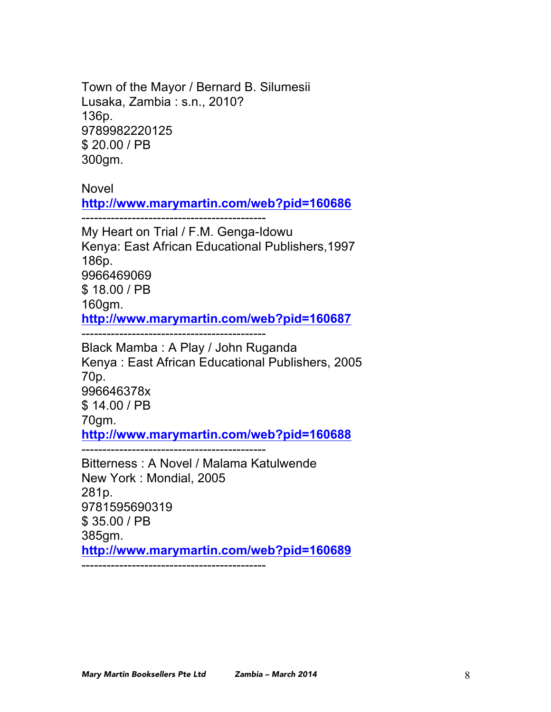Town of the Mayor / Bernard B. Silumesii Lusaka, Zambia : s.n., 2010? 136p. 9789982220125 \$ 20.00 / PB 300gm.

Novel

**http://www.marymartin.com/web?pid=160686**

--------------------------------------------

My Heart on Trial / F.M. Genga-Idowu Kenya: East African Educational Publishers,1997 186p. 9966469069 \$ 18.00 / PB 160gm. **http://www.marymartin.com/web?pid=160687**

--------------------------------------------

Black Mamba : A Play / John Ruganda Kenya : East African Educational Publishers, 2005 70p. 996646378x \$ 14.00 / PB 70gm. **http://www.marymartin.com/web?pid=160688** --------------------------------------------

Bitterness : A Novel / Malama Katulwende New York : Mondial, 2005 281p. 9781595690319 \$ 35.00 / PB 385gm. **http://www.marymartin.com/web?pid=160689** --------------------------------------------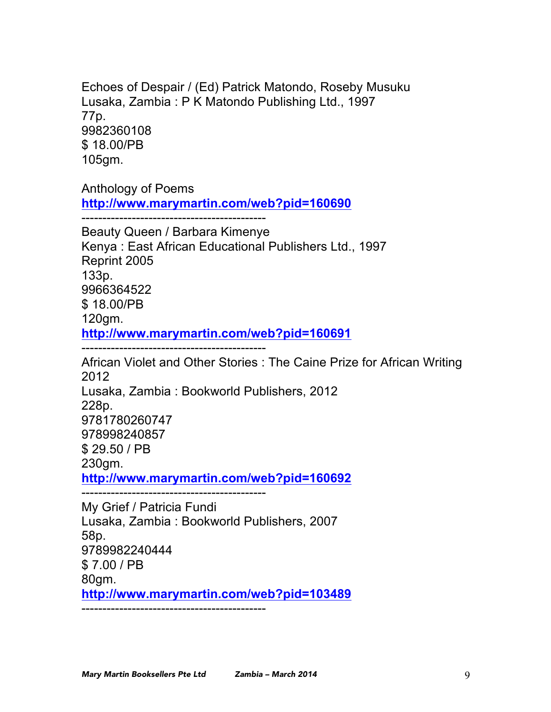Echoes of Despair / (Ed) Patrick Matondo, Roseby Musuku Lusaka, Zambia : P K Matondo Publishing Ltd., 1997 77p. 9982360108 \$ 18.00/PB 105gm.

Anthology of Poems **http://www.marymartin.com/web?pid=160690**

--------------------------------------------

Beauty Queen / Barbara Kimenye Kenya : East African Educational Publishers Ltd., 1997 Reprint 2005 133p. 9966364522 \$ 18.00/PB 120gm. **http://www.marymartin.com/web?pid=160691**

--------------------------------------------

African Violet and Other Stories : The Caine Prize for African Writing 2012 Lusaka, Zambia : Bookworld Publishers, 2012 228p. 9781780260747 978998240857 \$ 29.50 / PB 230gm. **http://www.marymartin.com/web?pid=160692**

--------------------------------------------

My Grief / Patricia Fundi Lusaka, Zambia : Bookworld Publishers, 2007 58p. 9789982240444 \$ 7.00 / PB 80gm. **http://www.marymartin.com/web?pid=103489** --------------------------------------------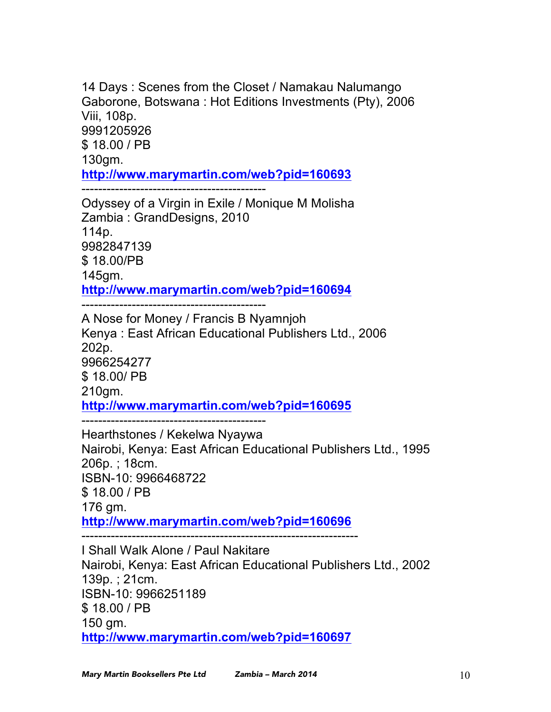14 Days : Scenes from the Closet / Namakau Nalumango Gaborone, Botswana : Hot Editions Investments (Pty), 2006 Viii, 108p. 9991205926 \$ 18.00 / PB 130gm. **http://www.marymartin.com/web?pid=160693** --------------------------------------------

Odyssey of a Virgin in Exile / Monique M Molisha Zambia : GrandDesigns, 2010 114p. 9982847139 \$ 18.00/PB 145gm. **http://www.marymartin.com/web?pid=160694**

--------------------------------------------

A Nose for Money / Francis B Nyamnjoh Kenya : East African Educational Publishers Ltd., 2006 202p. 9966254277 \$ 18.00/ PB 210gm. **http://www.marymartin.com/web?pid=160695** --------------------------------------------

Hearthstones / Kekelwa Nyaywa Nairobi, Kenya: East African Educational Publishers Ltd., 1995 206p. ; 18cm. ISBN-10: 9966468722 \$ 18.00 / PB 176 gm. **http://www.marymartin.com/web?pid=160696**

------------------------------------------------------------------

I Shall Walk Alone / Paul Nakitare Nairobi, Kenya: East African Educational Publishers Ltd., 2002 139p. ; 21cm. ISBN-10: 9966251189 \$ 18.00 / PB 150 gm. **http://www.marymartin.com/web?pid=160697**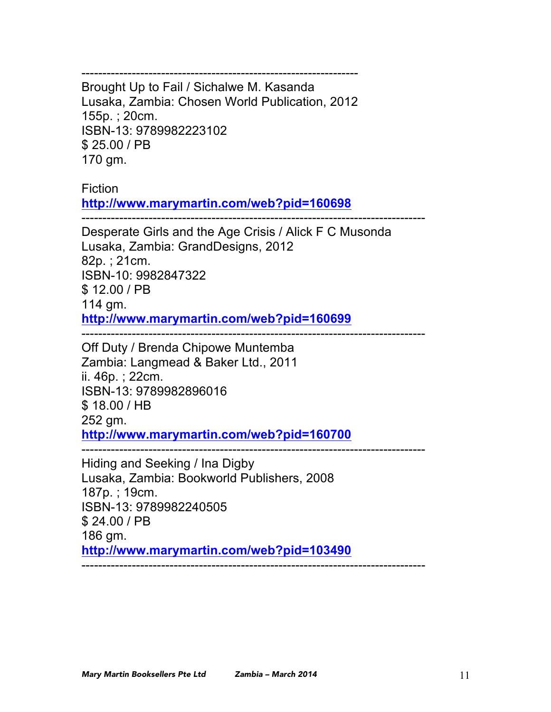------------------------------------------------------------------ Brought Up to Fail / Sichalwe M. Kasanda Lusaka, Zambia: Chosen World Publication, 2012 155p. ; 20cm. ISBN-13: 9789982223102 \$ 25.00 / PB 170 gm.

Fiction

**http://www.marymartin.com/web?pid=160698**

----------------------------------------------------------------------------------

Desperate Girls and the Age Crisis / Alick F C Musonda Lusaka, Zambia: GrandDesigns, 2012 82p. ; 21cm. ISBN-10: 9982847322 \$ 12.00 / PB 114 gm. **http://www.marymartin.com/web?pid=160699**

----------------------------------------------------------------------------------

Off Duty / Brenda Chipowe Muntemba Zambia: Langmead & Baker Ltd., 2011 ii. 46p. ; 22cm. ISBN-13: 9789982896016 \$ 18.00 / HB 252 gm. **http://www.marymartin.com/web?pid=160700**

----------------------------------------------------------------------------------

Hiding and Seeking / Ina Digby Lusaka, Zambia: Bookworld Publishers, 2008 187p. ; 19cm. ISBN-13: 9789982240505 \$ 24.00 / PB 186 gm. **http://www.marymartin.com/web?pid=103490** ----------------------------------------------------------------------------------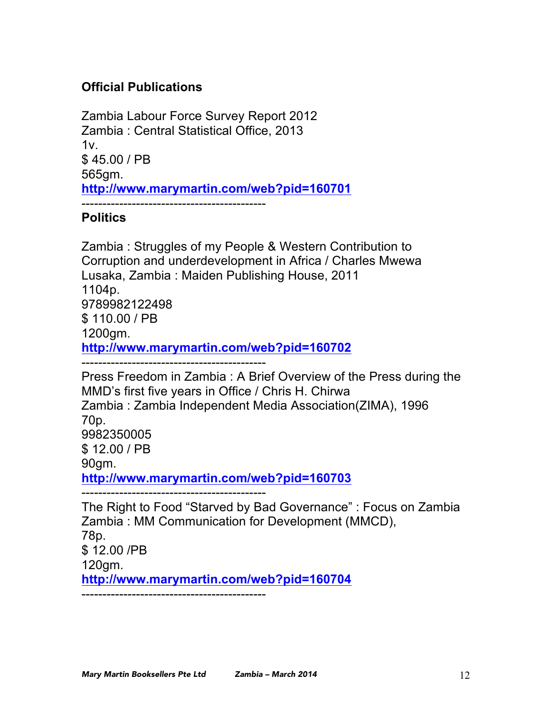# **Official Publications**

Zambia Labour Force Survey Report 2012 Zambia : Central Statistical Office, 2013  $1v<sub>1</sub>$ \$ 45.00 / PB 565gm. **http://www.marymartin.com/web?pid=160701** --------------------------------------------

# **Politics**

Zambia : Struggles of my People & Western Contribution to Corruption and underdevelopment in Africa / Charles Mwewa Lusaka, Zambia : Maiden Publishing House, 2011 1104p. 9789982122498 \$ 110.00 / PB 1200gm. **http://www.marymartin.com/web?pid=160702** --------------------------------------------

Press Freedom in Zambia : A Brief Overview of the Press during the MMD's first five years in Office / Chris H. Chirwa Zambia : Zambia Independent Media Association(ZIMA), 1996 70p. 9982350005 \$ 12.00 / PB 90gm. **http://www.marymartin.com/web?pid=160703** --------------------------------------------

The Right to Food "Starved by Bad Governance" : Focus on Zambia Zambia : MM Communication for Development (MMCD), 78p. \$ 12.00 /PB 120gm. **http://www.marymartin.com/web?pid=160704** --------------------------------------------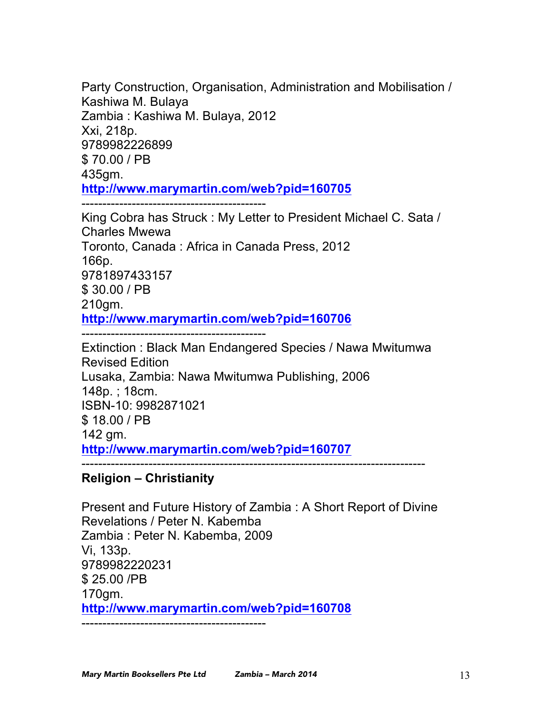Party Construction, Organisation, Administration and Mobilisation / Kashiwa M. Bulaya Zambia : Kashiwa M. Bulaya, 2012 Xxi, 218p. 9789982226899 \$ 70.00 / PB 435gm. **http://www.marymartin.com/web?pid=160705**

--------------------------------------------

King Cobra has Struck : My Letter to President Michael C. Sata / Charles Mwewa Toronto, Canada : Africa in Canada Press, 2012 166p. 9781897433157 \$ 30.00 / PB 210gm. **http://www.marymartin.com/web?pid=160706**

Extinction : Black Man Endangered Species / Nawa Mwitumwa Revised Edition Lusaka, Zambia: Nawa Mwitumwa Publishing, 2006 148p. ; 18cm. ISBN-10: 9982871021 \$ 18.00 / PB 142 gm. **http://www.marymartin.com/web?pid=160707**

----------------------------------------------------------------------------------

# **Religion – Christianity**

Present and Future History of Zambia : A Short Report of Divine Revelations / Peter N. Kabemba Zambia : Peter N. Kabemba, 2009 Vi, 133p. 9789982220231 \$ 25.00 /PB 170gm. **http://www.marymartin.com/web?pid=160708** --------------------------------------------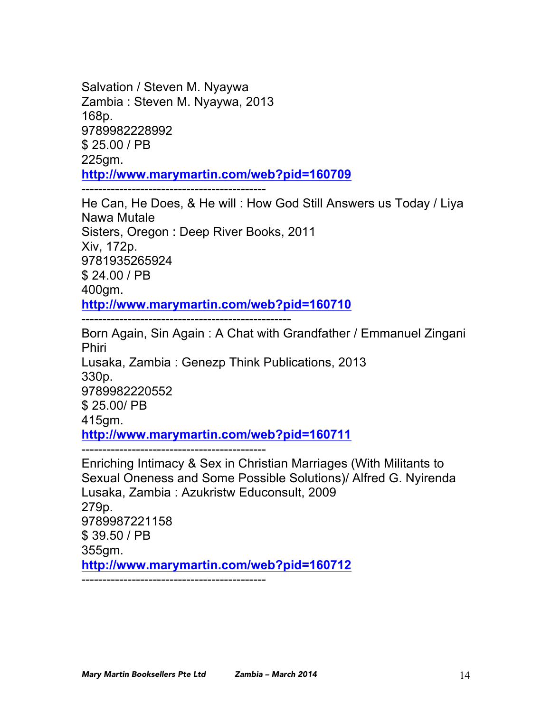Salvation / Steven M. Nyaywa Zambia : Steven M. Nyaywa, 2013 168p. 9789982228992 \$ 25.00 / PB 225gm. **http://www.marymartin.com/web?pid=160709**

--------------------------------------------

He Can, He Does, & He will : How God Still Answers us Today / Liya Nawa Mutale Sisters, Oregon : Deep River Books, 2011 Xiv, 172p. 9781935265924 \$ 24.00 / PB 400gm. **http://www.marymartin.com/web?pid=160710**

--------------------------------------------------

Born Again, Sin Again : A Chat with Grandfather / Emmanuel Zingani Phiri Lusaka, Zambia : Genezp Think Publications, 2013 330p. 9789982220552 \$ 25.00/ PB 415gm. **http://www.marymartin.com/web?pid=160711** -------------------------------------------- Enriching Intimacy & Sex in Christian Marriages (With Militants to

Sexual Oneness and Some Possible Solutions)/ Alfred G. Nyirenda Lusaka, Zambia : Azukristw Educonsult, 2009 279p. 9789987221158 \$ 39.50 / PB 355gm. **http://www.marymartin.com/web?pid=160712** --------------------------------------------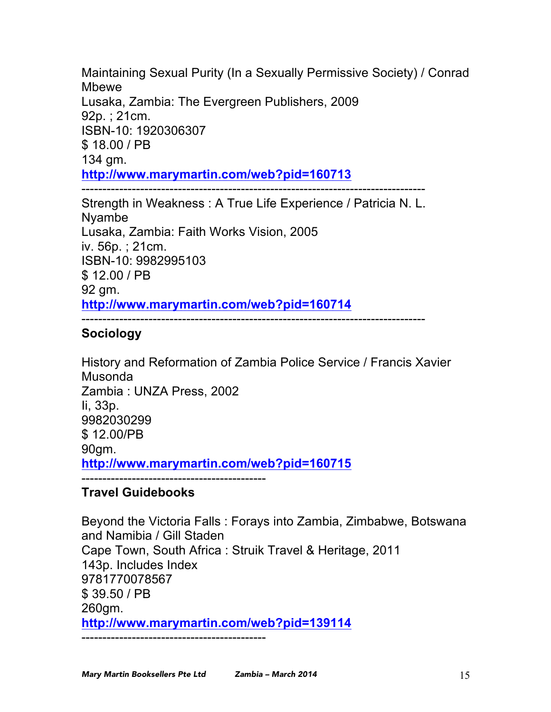Maintaining Sexual Purity (In a Sexually Permissive Society) / Conrad Mbewe Lusaka, Zambia: The Evergreen Publishers, 2009 92p. ; 21cm. ISBN-10: 1920306307 \$ 18.00 / PB 134 gm. **http://www.marymartin.com/web?pid=160713** ----------------------------------------------------------------------------------

Strength in Weakness : A True Life Experience / Patricia N. L. Nyambe Lusaka, Zambia: Faith Works Vision, 2005 iv. 56p. ; 21cm. ISBN-10: 9982995103 \$ 12.00 / PB 92 gm. **http://www.marymartin.com/web?pid=160714**

#### ----------------------------------------------------------------------------------

## **Sociology**

History and Reformation of Zambia Police Service / Francis Xavier Musonda Zambia : UNZA Press, 2002 Ii, 33p. 9982030299 \$ 12.00/PB 90gm. **http://www.marymartin.com/web?pid=160715** --------------------------------------------

## **Travel Guidebooks**

Beyond the Victoria Falls : Forays into Zambia, Zimbabwe, Botswana and Namibia / Gill Staden Cape Town, South Africa : Struik Travel & Heritage, 2011 143p. Includes Index 9781770078567 \$ 39.50 / PB 260gm. **http://www.marymartin.com/web?pid=139114** --------------------------------------------